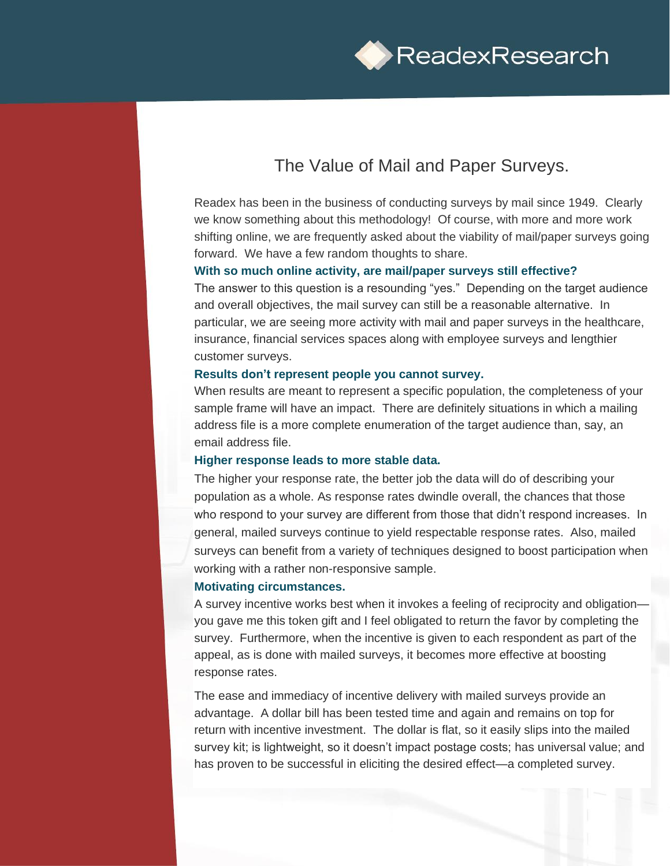

# The Value of Mail and Paper Surveys.

Readex has been in the business of conducting surveys by mail since 1949. Clearly we know something about this methodology! Of course, with more and more work shifting online, we are frequently asked about the viability of mail/paper surveys going forward. We have a few random thoughts to share.

## **With so much online activity, are mail/paper surveys still effective?**

The answer to this question is a resounding "yes." Depending on the target audience and overall objectives, the mail survey can still be a reasonable alternative. In particular, we are seeing more activity with mail and paper surveys in the healthcare, insurance, financial services spaces along with employee surveys and lengthier customer surveys.

## **Results don't represent people you cannot survey.**

When results are meant to represent a specific population, the completeness of your sample frame will have an impact. There are definitely situations in which a mailing address file is a more complete enumeration of the target audience than, say, an email address file.

#### **Higher response leads to more stable data.**

The higher your response rate, the better job the data will do of describing your population as a whole. As response rates dwindle overall, the chances that those who respond to your survey are different from those that didn't respond increases. In general, mailed surveys continue to yield respectable response rates. Also, mailed surveys can benefit from a variety of techniques designed to boost participation when working with a rather non-responsive sample.

#### **Motivating circumstances.**

A survey incentive works best when it invokes a feeling of reciprocity and obligation you gave me this token gift and I feel obligated to return the favor by completing the survey. Furthermore, when the incentive is given to each respondent as part of the appeal, as is done with mailed surveys, it becomes more effective at boosting response rates.

The ease and immediacy of incentive delivery with mailed surveys provide an advantage. A dollar bill has been tested time and again and remains on top for return with incentive investment. The dollar is flat, so it easily slips into the mailed survey kit; is lightweight, so it doesn't impact postage costs; has universal value; and has proven to be successful in eliciting the desired effect—a completed survey.